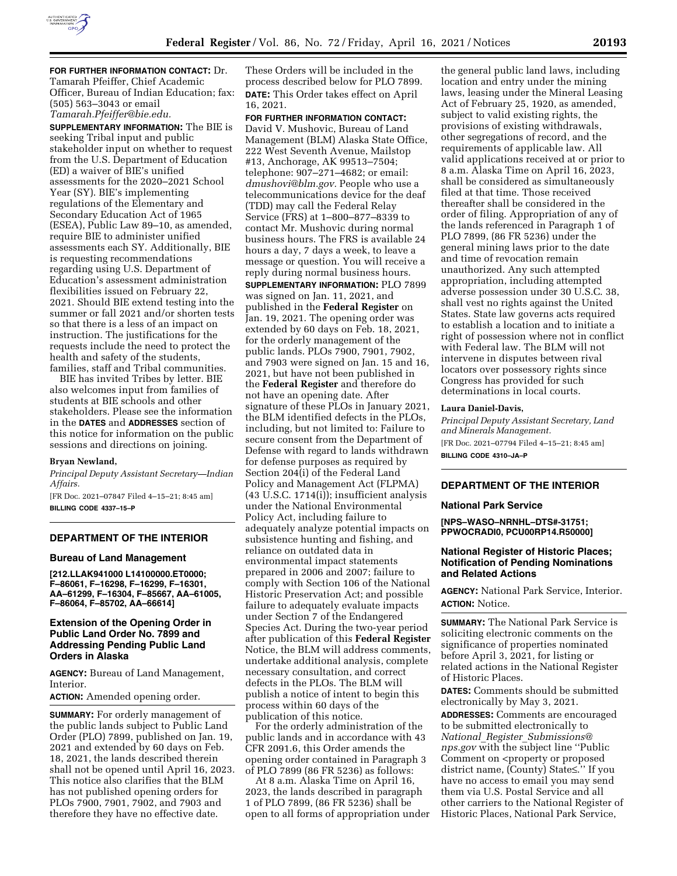

**FOR FURTHER INFORMATION CONTACT:** Dr. Tamarah Pfeiffer, Chief Academic Officer, Bureau of Indian Education; fax: (505) 563–3043 or email *[Tamarah.Pfeiffer@bie.edu.](mailto:Tamarah.Pfeiffer@bie.edu)* 

**SUPPLEMENTARY INFORMATION:** The BIE is seeking Tribal input and public stakeholder input on whether to request from the U.S. Department of Education (ED) a waiver of BIE's unified assessments for the 2020–2021 School Year (SY). BIE's implementing regulations of the Elementary and Secondary Education Act of 1965 (ESEA), Public Law 89–10, as amended, require BIE to administer unified assessments each SY. Additionally, BIE is requesting recommendations regarding using U.S. Department of Education's assessment administration flexibilities issued on February 22, 2021. Should BIE extend testing into the summer or fall 2021 and/or shorten tests so that there is a less of an impact on instruction. The justifications for the requests include the need to protect the health and safety of the students, families, staff and Tribal communities.

BIE has invited Tribes by letter. BIE also welcomes input from families of students at BIE schools and other stakeholders. Please see the information in the **DATES** and **ADDRESSES** section of this notice for information on the public sessions and directions on joining.

#### **Bryan Newland,**

*Principal Deputy Assistant Secretary—Indian Affairs.* 

[FR Doc. 2021–07847 Filed 4–15–21; 8:45 am] **BILLING CODE 4337–15–P** 

# **DEPARTMENT OF THE INTERIOR**

## **Bureau of Land Management**

**[212.LLAK941000 L14100000.ET0000; F–86061, F–16298, F–16299, F–16301, AA–61299, F–16304, F–85667, AA–61005, F–86064, F–85702, AA–66614]** 

## **Extension of the Opening Order in Public Land Order No. 7899 and Addressing Pending Public Land Orders in Alaska**

**AGENCY:** Bureau of Land Management, Interior.

**ACTION:** Amended opening order.

**SUMMARY:** For orderly management of the public lands subject to Public Land Order (PLO) 7899, published on Jan. 19, 2021 and extended by 60 days on Feb. 18, 2021, the lands described therein shall not be opened until April 16, 2023. This notice also clarifies that the BLM has not published opening orders for PLOs 7900, 7901, 7902, and 7903 and therefore they have no effective date.

These Orders will be included in the process described below for PLO 7899. **DATE:** This Order takes effect on April 16, 2021.

**FOR FURTHER INFORMATION CONTACT:**  David V. Mushovic, Bureau of Land Management (BLM) Alaska State Office, 222 West Seventh Avenue, Mailstop #13, Anchorage, AK 99513–7504; telephone: 907–271–4682; or email: *[dmushovi@blm.gov.](mailto:dmushovi@blm.gov)* People who use a telecommunications device for the deaf (TDD) may call the Federal Relay Service (FRS) at 1–800–877–8339 to contact Mr. Mushovic during normal business hours. The FRS is available 24 hours a day, 7 days a week, to leave a message or question. You will receive a reply during normal business hours. **SUPPLEMENTARY INFORMATION: PLO 7899** was signed on Jan. 11, 2021, and published in the **Federal Register** on Jan. 19, 2021. The opening order was extended by 60 days on Feb. 18, 2021, for the orderly management of the public lands. PLOs 7900, 7901, 7902, and 7903 were signed on Jan. 15 and 16, 2021, but have not been published in the **Federal Register** and therefore do not have an opening date. After signature of these PLOs in January 2021, the BLM identified defects in the PLOs, including, but not limited to: Failure to secure consent from the Department of Defense with regard to lands withdrawn for defense purposes as required by Section 204(i) of the Federal Land Policy and Management Act (FLPMA) (43 U.S.C. 1714(i)); insufficient analysis under the National Environmental Policy Act, including failure to adequately analyze potential impacts on subsistence hunting and fishing, and reliance on outdated data in environmental impact statements prepared in 2006 and 2007; failure to comply with Section 106 of the National Historic Preservation Act; and possible failure to adequately evaluate impacts under Section 7 of the Endangered Species Act. During the two-year period after publication of this **Federal Register**  Notice, the BLM will address comments, undertake additional analysis, complete necessary consultation, and correct defects in the PLOs. The BLM will publish a notice of intent to begin this process within 60 days of the publication of this notice.

For the orderly administration of the public lands and in accordance with 43 CFR 2091.6, this Order amends the opening order contained in Paragraph 3 of PLO 7899 (86 FR 5236) as follows:

At 8 a.m. Alaska Time on April 16, 2023, the lands described in paragraph 1 of PLO 7899, (86 FR 5236) shall be open to all forms of appropriation under

the general public land laws, including location and entry under the mining laws, leasing under the Mineral Leasing Act of February 25, 1920, as amended, subject to valid existing rights, the provisions of existing withdrawals, other segregations of record, and the requirements of applicable law. All valid applications received at or prior to 8 a.m. Alaska Time on April 16, 2023, shall be considered as simultaneously filed at that time. Those received thereafter shall be considered in the order of filing. Appropriation of any of the lands referenced in Paragraph 1 of PLO 7899, (86 FR 5236) under the general mining laws prior to the date and time of revocation remain unauthorized. Any such attempted appropriation, including attempted adverse possession under 30 U.S.C. 38, shall vest no rights against the United States. State law governs acts required to establish a location and to initiate a right of possession where not in conflict with Federal law. The BLM will not intervene in disputes between rival locators over possessory rights since Congress has provided for such determinations in local courts.

## **Laura Daniel-Davis,**

*Principal Deputy Assistant Secretary, Land and Minerals Management.*  [FR Doc. 2021–07794 Filed 4–15–21; 8:45 am] **BILLING CODE 4310–JA–P** 

# **DEPARTMENT OF THE INTERIOR**

#### **National Park Service**

**[NPS–WASO–NRNHL–DTS#-31751; PPWOCRADI0, PCU00RP14.R50000]** 

## **National Register of Historic Places; Notification of Pending Nominations and Related Actions**

**AGENCY:** National Park Service, Interior. **ACTION:** Notice.

**SUMMARY:** The National Park Service is soliciting electronic comments on the significance of properties nominated before April 3, 2021, for listing or related actions in the National Register of Historic Places.

**DATES:** Comments should be submitted electronically by May 3, 2021.

**ADDRESSES:** Comments are encouraged to be submitted electronically to *National*\_*Register*\_*[Submissions@](mailto:National_Register_Submissions@nps.gov) [nps.gov](mailto:National_Register_Submissions@nps.gov)* with the subject line ''Public Comment on  $\leq$  property or proposed district name, (County) State≤.'' If you have no access to email you may send them via U.S. Postal Service and all other carriers to the National Register of Historic Places, National Park Service,